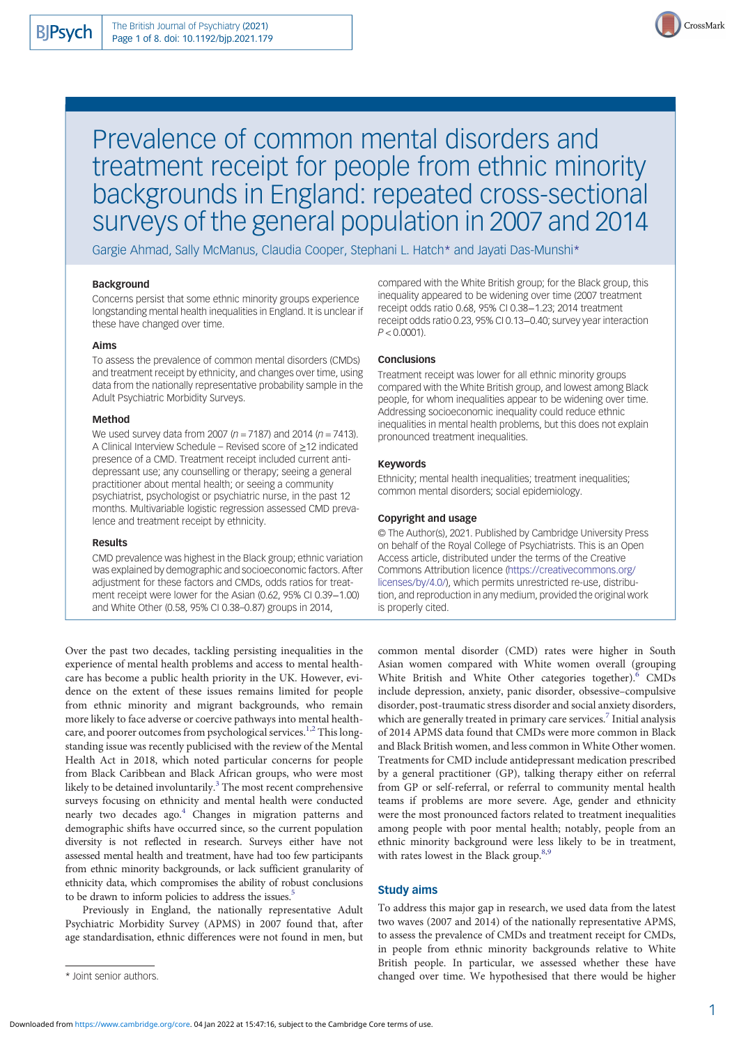

# Prevalence of common mental disorders and treatment receipt for people from ethnic minority backgrounds in England: repeated cross-sectional surveys of the general population in 2007 and 2014

Gargie Ahmad, Sally McManus, Claudia Cooper, Stephani L. Hatch\* and Jayati Das-Munshi\*

## Background

Concerns persist that some ethnic minority groups experience longstanding mental health inequalities in England. It is unclear if these have changed over time.

## Aims

To assess the prevalence of common mental disorders (CMDs) and treatment receipt by ethnicity, and changes over time, using data from the nationally representative probability sample in the Adult Psychiatric Morbidity Surveys.

#### Method

We used survey data from 2007 ( $n = 7187$ ) and 2014 ( $n = 7413$ ). A Clinical Interview Schedule – Revised score of ≥12 indicated presence of a CMD. Treatment receipt included current antidepressant use; any counselling or therapy; seeing a general practitioner about mental health; or seeing a community psychiatrist, psychologist or psychiatric nurse, in the past 12 months. Multivariable logistic regression assessed CMD prevalence and treatment receipt by ethnicity.

#### Results

CMD prevalence was highest in the Black group; ethnic variation was explained by demographic and socioeconomic factors. After adjustment for these factors and CMDs, odds ratios for treatment receipt were lower for the Asian (0.62, 95% CI 0.39−1.00) and White Other (0.58, 95% CI 0.38–0.87) groups in 2014,

Over the past two decades, tackling persisting inequalities in the experience of mental health problems and access to mental healthcare has become a public health priority in the UK. However, evidence on the extent of these issues remains limited for people from ethnic minority and migrant backgrounds, who remain more likely to face adverse or coercive pathways into mental healthcare, and poorer outcomes from psychological services.<sup>1,2</sup> This longstanding issue was recently publicised with the review of the Mental Health Act in 2018, which noted particular concerns for people from Black Caribbean and Black African groups, who were most likely to be detained involuntarily. $3$  The most recent comprehensive surveys focusing on ethnicity and mental health were conducted nearly two decades ago.<sup>4</sup> Changes in migration patterns and demographic shifts have occurred since, so the current population diversity is not reflected in research. Surveys either have not assessed mental health and treatment, have had too few participants from ethnic minority backgrounds, or lack sufficient granularity of ethnicity data, which compromises the ability of robust conclusions to be drawn to inform policies to address the issues.<sup>5</sup>

Previously in England, the nationally representative Adult Psychiatric Morbidity Survey (APMS) in 2007 found that, after age standardisation, ethnic differences were not found in men, but

compared with the White British group; for the Black group, this inequality appeared to be widening over time (2007 treatment receipt odds ratio 0.68, 95% CI 0.38−1.23; 2014 treatment receipt odds ratio 0.23, 95% CI 0.13−0.40; survey year interaction  $P < 0.0001$ ).

#### **Conclusions**

Treatment receipt was lower for all ethnic minority groups compared with the White British group, and lowest among Black people, for whom inequalities appear to be widening over time. Addressing socioeconomic inequality could reduce ethnic inequalities in mental health problems, but this does not explain pronounced treatment inequalities.

## Keywords

Ethnicity; mental health inequalities; treatment inequalities; common mental disorders; social epidemiology.

#### Copyright and usage

© The Author(s), 2021. Published by Cambridge University Press on behalf of the Royal College of Psychiatrists. This is an Open Access article, distributed under the terms of the Creative Commons Attribution licence [\(https://creativecommons.org/](https://creativecommons.org/licenses/by/4.0/) [licenses/by/4.0/](https://creativecommons.org/licenses/by/4.0/)), which permits unrestricted re-use, distribution, and reproduction in any medium, provided the original work is properly cited.

common mental disorder (CMD) rates were higher in South Asian women compared with White women overall (grouping White British and White Other categories together).<sup>[6](#page-6-0)</sup> CMDs include depression, anxiety, panic disorder, obsessive–compulsive disorder, post-traumatic stress disorder and social anxiety disorders, which are generally treated in primary care services.<sup>[7](#page-6-0)</sup> Initial analysis of 2014 APMS data found that CMDs were more common in Black and Black British women, and less common in White Other women. Treatments for CMD include antidepressant medication prescribed by a general practitioner (GP), talking therapy either on referral from GP or self-referral, or referral to community mental health teams if problems are more severe. Age, gender and ethnicity were the most pronounced factors related to treatment inequalities among people with poor mental health; notably, people from an ethnic minority background were less likely to be in treatment, with rates lowest in the Black group.<sup>8,9</sup>

# Study aims

To address this major gap in research, we used data from the latest two waves (2007 and 2014) of the nationally representative APMS, to assess the prevalence of CMDs and treatment receipt for CMDs, in people from ethnic minority backgrounds relative to White British people. In particular, we assessed whether these have \* Joint senior authors. changed over time. We hypothesised that there would be higher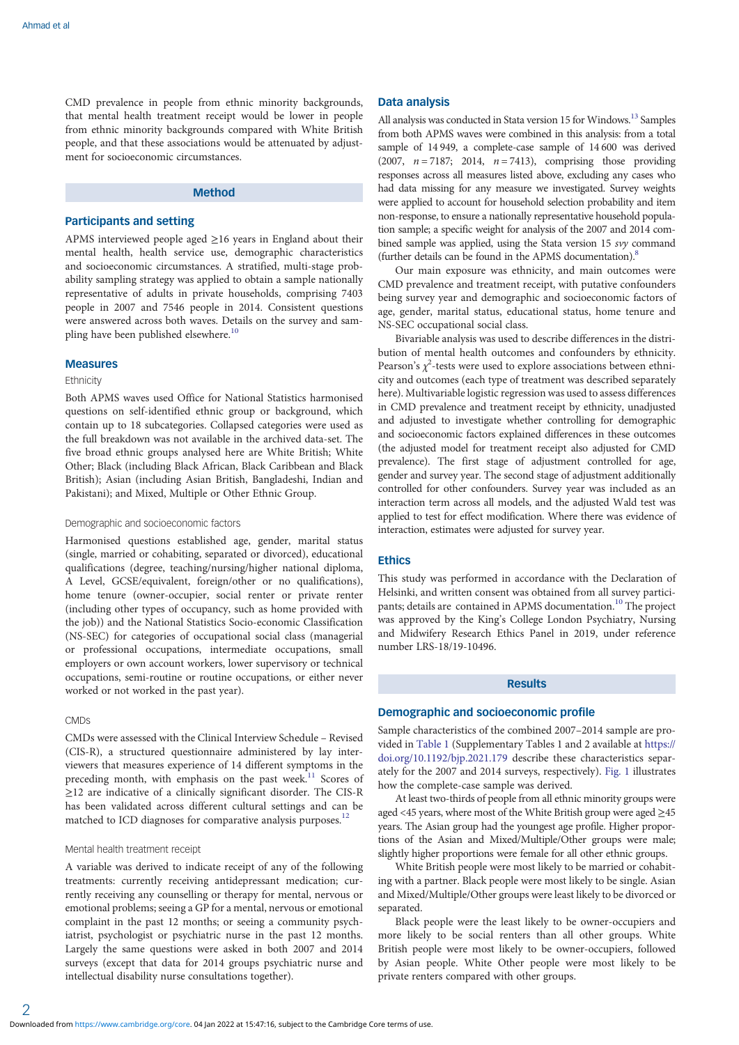CMD prevalence in people from ethnic minority backgrounds, that mental health treatment receipt would be lower in people from ethnic minority backgrounds compared with White British people, and that these associations would be attenuated by adjustment for socioeconomic circumstances.

## Method

#### Participants and setting

APMS interviewed people aged ≥16 years in England about their mental health, health service use, demographic characteristics and socioeconomic circumstances. A stratified, multi-stage probability sampling strategy was applied to obtain a sample nationally representative of adults in private households, comprising 7403 people in 2007 and 7546 people in 2014. Consistent questions were answered across both waves. Details on the survey and sam-pling have been published elsewhere.<sup>[10](#page-7-0)</sup>

#### Measures

#### **Ethnicity**

Both APMS waves used Office for National Statistics harmonised questions on self-identified ethnic group or background, which contain up to 18 subcategories. Collapsed categories were used as the full breakdown was not available in the archived data-set. The five broad ethnic groups analysed here are White British; White Other; Black (including Black African, Black Caribbean and Black British); Asian (including Asian British, Bangladeshi, Indian and Pakistani); and Mixed, Multiple or Other Ethnic Group.

## Demographic and socioeconomic factors

Harmonised questions established age, gender, marital status (single, married or cohabiting, separated or divorced), educational qualifications (degree, teaching/nursing/higher national diploma, A Level, GCSE/equivalent, foreign/other or no qualifications), home tenure (owner-occupier, social renter or private renter (including other types of occupancy, such as home provided with the job)) and the National Statistics Socio-economic Classification (NS-SEC) for categories of occupational social class (managerial or professional occupations, intermediate occupations, small employers or own account workers, lower supervisory or technical occupations, semi-routine or routine occupations, or either never worked or not worked in the past year).

#### **CMDs**

CMDs were assessed with the Clinical Interview Schedule – Revised (CIS-R), a structured questionnaire administered by lay interviewers that measures experience of 14 different symptoms in the preceding month, with emphasis on the past week.<sup>[11](#page-7-0)</sup> Scores of ≥12 are indicative of a clinically significant disorder. The CIS-R has been validated across different cultural settings and can be matched to ICD diagnoses for comparative analysis purposes.<sup>12</sup>

#### Mental health treatment receipt

A variable was derived to indicate receipt of any of the following treatments: currently receiving antidepressant medication; currently receiving any counselling or therapy for mental, nervous or emotional problems; seeing a GP for a mental, nervous or emotional complaint in the past 12 months; or seeing a community psychiatrist, psychologist or psychiatric nurse in the past 12 months. Largely the same questions were asked in both 2007 and 2014 surveys (except that data for 2014 groups psychiatric nurse and intellectual disability nurse consultations together).

## Data analysis

All analysis was conducted in Stata version 15 for Windows.<sup>13</sup> Samples from both APMS waves were combined in this analysis: from a total sample of 14 949, a complete-case sample of 14 600 was derived (2007,  $n = 7187$ ; 2014,  $n = 7413$ ), comprising those providing responses across all measures listed above, excluding any cases who had data missing for any measure we investigated. Survey weights were applied to account for household selection probability and item non-response, to ensure a nationally representative household population sample; a specific weight for analysis of the 2007 and 2014 combined sample was applied, using the Stata version 15 svy command (further details can be found in the APMS documentation).[8](#page-6-0)

Our main exposure was ethnicity, and main outcomes were CMD prevalence and treatment receipt, with putative confounders being survey year and demographic and socioeconomic factors of age, gender, marital status, educational status, home tenure and NS-SEC occupational social class.

Bivariable analysis was used to describe differences in the distribution of mental health outcomes and confounders by ethnicity. Pearson's  $\chi^2$ -tests were used to explore associations between ethnicity and outcomes (each type of treatment was described separately here). Multivariable logistic regression was used to assess differences in CMD prevalence and treatment receipt by ethnicity, unadjusted and adjusted to investigate whether controlling for demographic and socioeconomic factors explained differences in these outcomes (the adjusted model for treatment receipt also adjusted for CMD prevalence). The first stage of adjustment controlled for age, gender and survey year. The second stage of adjustment additionally controlled for other confounders. Survey year was included as an interaction term across all models, and the adjusted Wald test was applied to test for effect modification. Where there was evidence of interaction, estimates were adjusted for survey year.

## **Ethics**

This study was performed in accordance with the Declaration of Helsinki, and written consent was obtained from all survey partici-pants; details are contained in APMS documentation.<sup>[10](#page-7-0)</sup> The project was approved by the King's College London Psychiatry, Nursing and Midwifery Research Ethics Panel in 2019, under reference number LRS-18/19-10496.

# Results

# Demographic and socioeconomic profile

Sample characteristics of the combined 2007–2014 sample are provided in [Table 1](#page-2-0) (Supplementary Tables 1 and 2 available at [https://](https://doi.org/10.1192/bjp.2021.179) [doi.org/10.1192/bjp.2021.179](https://doi.org/10.1192/bjp.2021.179) describe these characteristics separately for the 2007 and 2014 surveys, respectively). [Fig. 1](#page-3-0) illustrates how the complete-case sample was derived.

At least two-thirds of people from all ethnic minority groups were aged <45 years, where most of the White British group were aged ≥45 years. The Asian group had the youngest age profile. Higher proportions of the Asian and Mixed/Multiple/Other groups were male; slightly higher proportions were female for all other ethnic groups.

White British people were most likely to be married or cohabiting with a partner. Black people were most likely to be single. Asian and Mixed/Multiple/Other groups were least likely to be divorced or separated.

Black people were the least likely to be owner-occupiers and more likely to be social renters than all other groups. White British people were most likely to be owner-occupiers, followed by Asian people. White Other people were most likely to be private renters compared with other groups.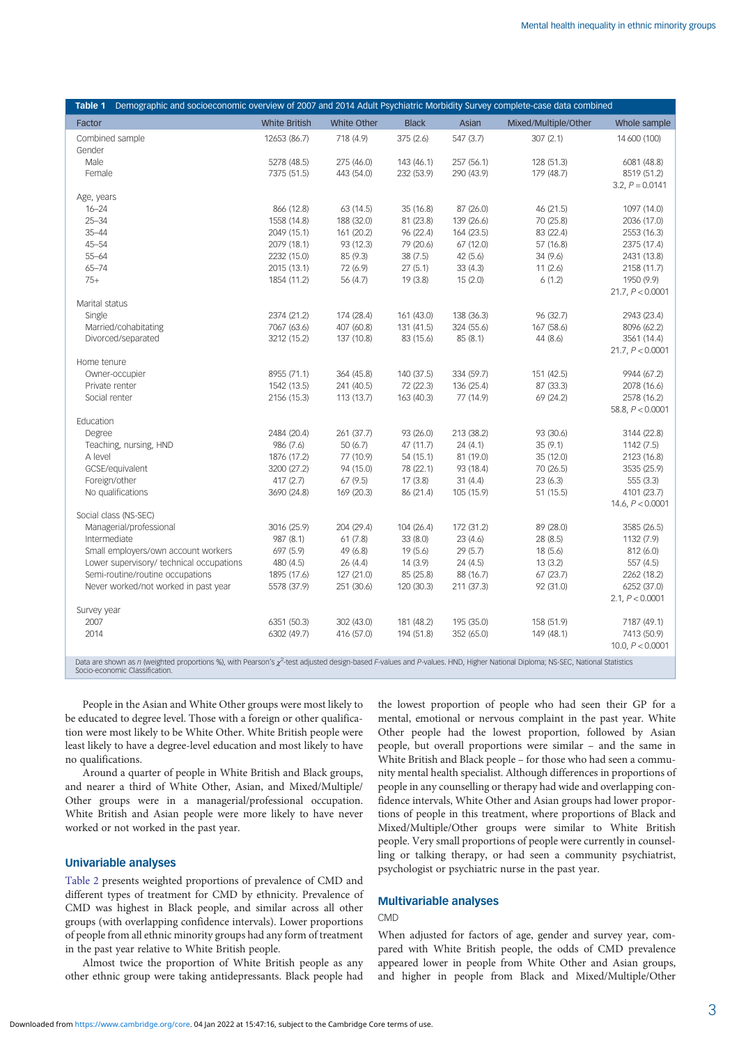<span id="page-2-0"></span>

| Table 1                                                                                                                                                                                                              | Demographic and socioeconomic overview of 2007 and 2014 Adult Psychiatric Morbidity Survey complete-case data combined |                            |                          |                        |                          |                        |                                   |
|----------------------------------------------------------------------------------------------------------------------------------------------------------------------------------------------------------------------|------------------------------------------------------------------------------------------------------------------------|----------------------------|--------------------------|------------------------|--------------------------|------------------------|-----------------------------------|
| Factor                                                                                                                                                                                                               |                                                                                                                        | <b>White British</b>       | White Other              | <b>Black</b>           | Asian                    | Mixed/Multiple/Other   | Whole sample                      |
|                                                                                                                                                                                                                      | Combined sample                                                                                                        | 12653 (86.7)               | 718 (4.9)                | 375 (2.6)              | 547 (3.7)                | 307(2.1)               | 14 600 (100)                      |
| Gender                                                                                                                                                                                                               |                                                                                                                        |                            |                          |                        |                          |                        |                                   |
| Male                                                                                                                                                                                                                 |                                                                                                                        | 5278 (48.5)                | 275 (46.0)               | 143 (46.1)             | 257 (56.1)               | 128 (51.3)             | 6081 (48.8)                       |
| Female                                                                                                                                                                                                               |                                                                                                                        | 7375 (51.5)                | 443 (54.0)               | 232 (53.9)             | 290 (43.9)               | 179 (48.7)             | 8519 (51.2)                       |
|                                                                                                                                                                                                                      |                                                                                                                        |                            |                          |                        |                          |                        | $3.2, P = 0.0141$                 |
| Age, years                                                                                                                                                                                                           |                                                                                                                        |                            |                          |                        |                          |                        |                                   |
| $16 - 24$<br>$25 - 34$                                                                                                                                                                                               |                                                                                                                        | 866 (12.8)                 | 63 (14.5)                | 35 (16.8)              | 87 (26.0)                | 46 (21.5)              | 1097 (14.0)                       |
| $35 - 44$                                                                                                                                                                                                            |                                                                                                                        | 1558 (14.8)<br>2049 (15.1) | 188 (32.0)<br>161 (20.2) | 81 (23.8)<br>96 (22.4) | 139 (26.6)<br>164 (23.5) | 70 (25.8)<br>83 (22.4) | 2036 (17.0)<br>2553 (16.3)        |
| $45 - 54$                                                                                                                                                                                                            |                                                                                                                        | 2079 (18.1)                | 93 (12.3)                | 79 (20.6)              | 67 (12.0)                | 57 (16.8)              | 2375 (17.4)                       |
| $55 - 64$                                                                                                                                                                                                            |                                                                                                                        | 2232 (15.0)                | 85 (9.3)                 | 38(7.5)                | 42(5.6)                  | 34 (9.6)               | 2431 (13.8)                       |
| $65 - 74$                                                                                                                                                                                                            |                                                                                                                        | 2015 (13.1)                | 72 (6.9)                 | 27(5.1)                | 33(4.3)                  | 11(2.6)                | 2158 (11.7)                       |
| $75+$                                                                                                                                                                                                                |                                                                                                                        | 1854 (11.2)                | 56 (4.7)                 | 19(3.8)                | 15(2.0)                  | 6(1.2)                 | 1950 (9.9)                        |
|                                                                                                                                                                                                                      |                                                                                                                        |                            |                          |                        |                          |                        | 21.7, P < 0.0001                  |
| Marital status                                                                                                                                                                                                       |                                                                                                                        |                            |                          |                        |                          |                        |                                   |
| Single                                                                                                                                                                                                               |                                                                                                                        | 2374 (21.2)                | 174 (28.4)               | 161 (43.0)             | 138 (36.3)               | 96 (32.7)              | 2943 (23.4)                       |
|                                                                                                                                                                                                                      | Married/cohabitating                                                                                                   | 7067 (63.6)                | 407 (60.8)               | 131 (41.5)             | 324 (55.6)               | 167 (58.6)             | 8096 (62.2)                       |
|                                                                                                                                                                                                                      | Divorced/separated                                                                                                     | 3212 (15.2)                | 137 (10.8)               | 83 (15.6)              | 85(8.1)                  | 44 (8.6)               | 3561 (14.4)                       |
|                                                                                                                                                                                                                      |                                                                                                                        |                            |                          |                        |                          |                        | 21.7, P < 0.0001                  |
| Home tenure                                                                                                                                                                                                          |                                                                                                                        |                            |                          |                        |                          |                        |                                   |
|                                                                                                                                                                                                                      | Owner-occupier                                                                                                         | 8955 (71.1)                | 364 (45.8)               | 140 (37.5)             | 334 (59.7)               | 151 (42.5)             | 9944 (67.2)                       |
|                                                                                                                                                                                                                      | Private renter                                                                                                         | 1542 (13.5)                | 241 (40.5)               | 72 (22.3)              | 136 (25.4)               | 87 (33.3)              | 2078 (16.6)                       |
| Social renter                                                                                                                                                                                                        |                                                                                                                        | 2156 (15.3)                | 113 (13.7)               | 163 (40.3)             | 77 (14.9)                | 69 (24.2)              | 2578 (16.2)                       |
|                                                                                                                                                                                                                      |                                                                                                                        |                            |                          |                        |                          |                        | 58.8, $P < 0.0001$                |
| Education                                                                                                                                                                                                            |                                                                                                                        |                            |                          |                        |                          |                        |                                   |
| Degree                                                                                                                                                                                                               |                                                                                                                        | 2484 (20.4)                | 261 (37.7)               | 93 (26.0)              | 213 (38.2)               | 93 (30.6)              | 3144 (22.8)                       |
|                                                                                                                                                                                                                      | Teaching, nursing, HND                                                                                                 | 986 (7.6)                  | 50(6.7)                  | 47 (11.7)              | 24(4.1)                  | 35(9.1)                | 1142 (7.5)                        |
| A level                                                                                                                                                                                                              |                                                                                                                        | 1876 (17.2)                | 77 (10.9)                | 54 (15.1)              | 81 (19.0)                | 35 (12.0)              | 2123 (16.8)                       |
|                                                                                                                                                                                                                      | GCSE/equivalent<br>Foreign/other                                                                                       | 3200 (27.2)                | 94 (15.0)                | 78 (22.1)              | 93 (18.4)                | 70 (26.5)              | 3535 (25.9)                       |
|                                                                                                                                                                                                                      |                                                                                                                        | 417(2.7)                   | 67(9.5)                  | 17(3.8)                | 31(4.4)                  | 23(6.3)                | 555(3.3)                          |
|                                                                                                                                                                                                                      | No qualifications                                                                                                      | 3690 (24.8)                | 169 (20.3)               | 86 (21.4)              | 105 (15.9)               | 51 (15.5)              | 4101 (23.7)<br>14.6, $P < 0.0001$ |
|                                                                                                                                                                                                                      | Social class (NS-SEC)                                                                                                  |                            |                          |                        |                          |                        |                                   |
|                                                                                                                                                                                                                      | Managerial/professional                                                                                                | 3016 (25.9)                | 204 (29.4)               | 104 (26.4)             | 172 (31.2)               | 89 (28.0)              | 3585 (26.5)                       |
| Intermediate                                                                                                                                                                                                         |                                                                                                                        | 987 (8.1)                  | 61(7.8)                  | 33(8.0)                | 23(4.6)                  | 28 (8.5)               | 1132 (7.9)                        |
|                                                                                                                                                                                                                      | Small employers/own account workers                                                                                    | 697 (5.9)                  | 49 (6.8)                 | 19 (5.6)               | 29 (5.7)                 | 18 (5.6)               | 812 (6.0)                         |
|                                                                                                                                                                                                                      | Lower supervisory/ technical occupations                                                                               | 480 (4.5)                  | 26 (4.4)                 | 14(3.9)                | 24 (4.5)                 | 13(3.2)                | 557 (4.5)                         |
|                                                                                                                                                                                                                      | Semi-routine/routine occupations                                                                                       | 1895 (17.6)                | 127 (21.0)               | 85 (25.8)              | 88 (16.7)                | 67 (23.7)              | 2262 (18.2)                       |
|                                                                                                                                                                                                                      | Never worked/not worked in past year                                                                                   | 5578 (37.9)                | 251 (30.6)               | 120 (30.3)             | 211 (37.3)               | 92 (31.0)              | 6252 (37.0)                       |
|                                                                                                                                                                                                                      |                                                                                                                        |                            |                          |                        |                          |                        | 2.1, P < 0.0001                   |
| Survey year                                                                                                                                                                                                          |                                                                                                                        |                            |                          |                        |                          |                        |                                   |
| 2007                                                                                                                                                                                                                 |                                                                                                                        | 6351 (50.3)                | 302 (43.0)               | 181 (48.2)             | 195 (35.0)               | 158 (51.9)             | 7187 (49.1)                       |
| 2014                                                                                                                                                                                                                 |                                                                                                                        | 6302 (49.7)                | 416 (57.0)               | 194 (51.8)             | 352 (65.0)               | 149 (48.1)             | 7413 (50.9)                       |
|                                                                                                                                                                                                                      |                                                                                                                        |                            |                          |                        |                          |                        | 10.0, $P < 0.0001$                |
| Data are shown as n (weighted proportions %), with Pearson's $\chi^2$ -test adjusted design-based F-values and P-values. HND, Higher National Diploma; NS-SEC, National Statistics<br>Socio-economic Classification. |                                                                                                                        |                            |                          |                        |                          |                        |                                   |

People in the Asian and White Other groups were most likely to be educated to degree level. Those with a foreign or other qualification were most likely to be White Other. White British people were least likely to have a degree-level education and most likely to have no qualifications.

Around a quarter of people in White British and Black groups, and nearer a third of White Other, Asian, and Mixed/Multiple/ Other groups were in a managerial/professional occupation. White British and Asian people were more likely to have never worked or not worked in the past year.

# Univariable analyses

[Table 2](#page-3-0) presents weighted proportions of prevalence of CMD and different types of treatment for CMD by ethnicity. Prevalence of CMD was highest in Black people, and similar across all other groups (with overlapping confidence intervals). Lower proportions of people from all ethnic minority groups had any form of treatment in the past year relative to White British people.

Almost twice the proportion of White British people as any other ethnic group were taking antidepressants. Black people had the lowest proportion of people who had seen their GP for a mental, emotional or nervous complaint in the past year. White Other people had the lowest proportion, followed by Asian people, but overall proportions were similar – and the same in White British and Black people – for those who had seen a community mental health specialist. Although differences in proportions of people in any counselling or therapy had wide and overlapping confidence intervals, White Other and Asian groups had lower proportions of people in this treatment, where proportions of Black and Mixed/Multiple/Other groups were similar to White British people. Very small proportions of people were currently in counselling or talking therapy, or had seen a community psychiatrist, psychologist or psychiatric nurse in the past year.

# Multivariable analyses

# CMD

When adjusted for factors of age, gender and survey year, compared with White British people, the odds of CMD prevalence appeared lower in people from White Other and Asian groups, and higher in people from Black and Mixed/Multiple/Other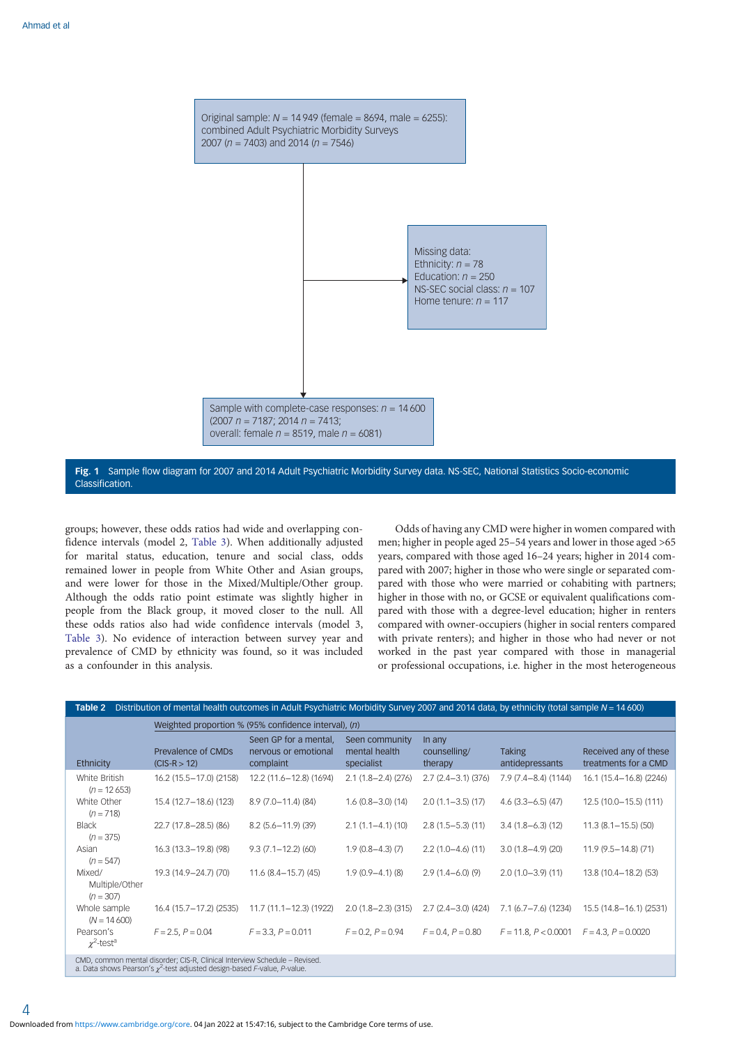<span id="page-3-0"></span>

Fig. 1 Sample flow diagram for 2007 and 2014 Adult Psychiatric Morbidity Survey data. NS-SEC, National Statistics Socio-economic Classification.

groups; however, these odds ratios had wide and overlapping confidence intervals (model 2, [Table 3](#page-4-0)). When additionally adjusted for marital status, education, tenure and social class, odds remained lower in people from White Other and Asian groups, and were lower for those in the Mixed/Multiple/Other group. Although the odds ratio point estimate was slightly higher in people from the Black group, it moved closer to the null. All these odds ratios also had wide confidence intervals (model 3, [Table 3](#page-4-0)). No evidence of interaction between survey year and prevalence of CMD by ethnicity was found, so it was included as a confounder in this analysis.

Odds of having any CMD were higher in women compared with men; higher in people aged 25–54 years and lower in those aged >65 years, compared with those aged 16–24 years; higher in 2014 compared with 2007; higher in those who were single or separated compared with those who were married or cohabiting with partners; higher in those with no, or GCSE or equivalent qualifications compared with those with a degree-level education; higher in renters compared with owner-occupiers (higher in social renters compared with private renters); and higher in those who had never or not worked in the past year compared with those in managerial or professional occupations, i.e. higher in the most heterogeneous

| Table 2                                                                                                                                                      | Distribution of mental health outcomes in Adult Psychiatric Morbidity Survey 2007 and 2014 data, by ethnicity (total sample $N = 14600$ ) |                                                            |                                               |                                   |                                  |                                               |  |  |
|--------------------------------------------------------------------------------------------------------------------------------------------------------------|-------------------------------------------------------------------------------------------------------------------------------------------|------------------------------------------------------------|-----------------------------------------------|-----------------------------------|----------------------------------|-----------------------------------------------|--|--|
| Weighted proportion % (95% confidence interval), (n)                                                                                                         |                                                                                                                                           |                                                            |                                               |                                   |                                  |                                               |  |  |
| Ethnicity                                                                                                                                                    | Prevalence of CMDs<br>$(CIS-R > 12)$                                                                                                      | Seen GP for a mental,<br>nervous or emotional<br>complaint | Seen community<br>mental health<br>specialist | In any<br>counselling/<br>therapy | <b>Taking</b><br>antidepressants | Received any of these<br>treatments for a CMD |  |  |
| White British<br>$(n = 12653)$                                                                                                                               | 16.2 (15.5-17.0) (2158)                                                                                                                   | 12.2 (11.6-12.8) (1694)                                    | $2.1(1.8 - 2.4)(276)$                         | $2.7(2.4 - 3.1)(376)$             | $7.9(7.4-8.4)(1144)$             | 16.1 (15.4-16.8) (2246)                       |  |  |
| White Other<br>$(n = 718)$                                                                                                                                   | 15.4 (12.7-18.6) (123)                                                                                                                    | 8.9 (7.0-11.4) (84)                                        | $1.6(0.8 - 3.0)(14)$                          | $2.0(1.1 - 3.5)(17)$              | $4.6$ (3.3-6.5) (47)             | 12.5 (10.0-15.5) (111)                        |  |  |
| <b>Black</b><br>$(n = 375)$                                                                                                                                  | 22.7 (17.8-28.5) (86)                                                                                                                     | $8.2(5.6 - 11.9)(39)$                                      | $2.1(1.1 - 4.1)(10)$                          | $2.8(1.5-5.3)(11)$                | $3.4(1.8-6.3)(12)$               | $11.3(8.1 - 15.5)(50)$                        |  |  |
| Asian<br>$(n = 547)$                                                                                                                                         | 16.3 (13.3-19.8) (98)                                                                                                                     | $9.3(7.1 - 12.2)(60)$                                      | $1.9(0.8-4.3)(7)$                             | $2.2(1.0-4.6)(11)$                | $3.0(1.8-4.9)(20)$               | $11.9(9.5 - 14.8)(71)$                        |  |  |
| Mixed/<br>Multiple/Other<br>$(n = 307)$                                                                                                                      | 19.3 (14.9–24.7) (70)                                                                                                                     | $11.6$ (8.4-15.7) (45)                                     | $1.9(0.9 - 4.1)(8)$                           | $2.9(1.4-6.0)(9)$                 | $2.0(1.0-3.9)(11)$               | 13.8 (10.4-18.2) (53)                         |  |  |
| Whole sample<br>$(N = 14600)$                                                                                                                                | 16.4 (15.7–17.2) (2535)                                                                                                                   | 11.7 (11.1–12.3) (1922)                                    | $2.0(1.8 - 2.3)(315)$                         | $2.7(2.4 - 3.0)(424)$             | 7.1 (6.7–7.6) (1234)             | 15.5 (14.8-16.1) (2531)                       |  |  |
| Pearson's<br>$\chi^2$ -test <sup>a</sup>                                                                                                                     | $F = 2.5, P = 0.04$                                                                                                                       | $F = 3.3$ , $P = 0.011$                                    | $F = 0.2, P = 0.94$                           | $F = 0.4, P = 0.80$               | $F = 11.8, P < 0.0001$           | $F = 4.3, P = 0.0020$                         |  |  |
| CMD, common mental disorder; CIS-R, Clinical Interview Schedule - Revised.<br>a. Data shows Pearson's $\chi^2$ -test adjusted design-based F-value, P-value. |                                                                                                                                           |                                                            |                                               |                                   |                                  |                                               |  |  |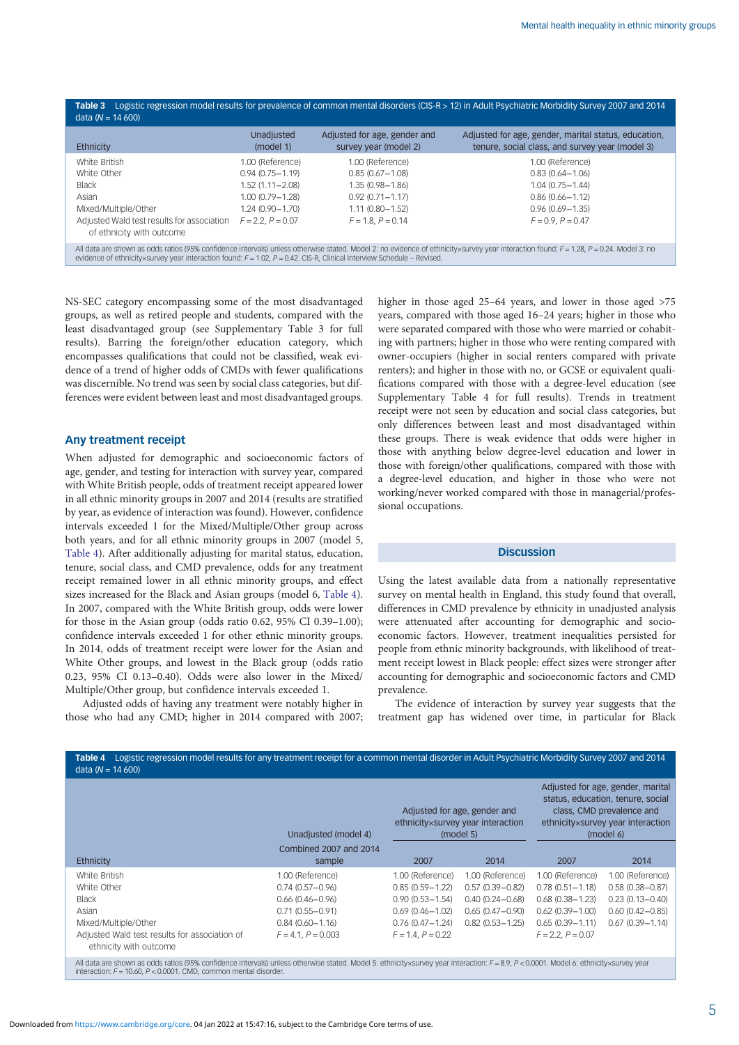<span id="page-4-0"></span>

| Ethnicity                                                                                                                                                | Unadjusted                                                                                                                             | Adjusted for age, gender and                                                                                                           | Adjusted for age, gender, marital status, education,                                                                                   |
|----------------------------------------------------------------------------------------------------------------------------------------------------------|----------------------------------------------------------------------------------------------------------------------------------------|----------------------------------------------------------------------------------------------------------------------------------------|----------------------------------------------------------------------------------------------------------------------------------------|
|                                                                                                                                                          | (model 1)                                                                                                                              | survey year (model 2)                                                                                                                  | tenure, social class, and survey year (model 3)                                                                                        |
| White British<br>White Other<br><b>Black</b><br>Asian<br>Mixed/Multiple/Other<br>Adjusted Wald test results for association<br>of ethnicity with outcome | 1.00 (Reference)<br>$0.94(0.75 - 1.19)$<br>$1.52(1.11 - 2.08)$<br>$1.00(0.79 - 1.28)$<br>$1.24(0.90 - 1.70)$<br>$F = 2.2$ , $P = 0.07$ | 1.00 (Reference)<br>$0.85(0.67 - 1.08)$<br>$1.35(0.98 - 1.86)$<br>$0.92(0.71 - 1.17)$<br>$1.11(0.80 - 1.52)$<br>$F = 1.8$ , $P = 0.14$ | 1.00 (Reference)<br>$0.83(0.64 - 1.06)$<br>$1.04(0.75 - 1.44)$<br>$0.86(0.66 - 1.12)$<br>$0.96(0.69 - 1.35)$<br>$F = 0.9$ , $P = 0.47$ |

NS-SEC category encompassing some of the most disadvantaged groups, as well as retired people and students, compared with the least disadvantaged group (see Supplementary Table 3 for full results). Barring the foreign/other education category, which encompasses qualifications that could not be classified, weak evidence of a trend of higher odds of CMDs with fewer qualifications was discernible. No trend was seen by social class categories, but differences were evident between least and most disadvantaged groups.

# Any treatment receipt

When adjusted for demographic and socioeconomic factors of age, gender, and testing for interaction with survey year, compared with White British people, odds of treatment receipt appeared lower in all ethnic minority groups in 2007 and 2014 (results are stratified by year, as evidence of interaction was found). However, confidence intervals exceeded 1 for the Mixed/Multiple/Other group across both years, and for all ethnic minority groups in 2007 (model 5, Table 4). After additionally adjusting for marital status, education, tenure, social class, and CMD prevalence, odds for any treatment receipt remained lower in all ethnic minority groups, and effect sizes increased for the Black and Asian groups (model 6, Table 4). In 2007, compared with the White British group, odds were lower for those in the Asian group (odds ratio 0.62, 95% CI 0.39–1.00); confidence intervals exceeded 1 for other ethnic minority groups. In 2014, odds of treatment receipt were lower for the Asian and White Other groups, and lowest in the Black group (odds ratio 0.23, 95% CI 0.13–0.40). Odds were also lower in the Mixed/ Multiple/Other group, but confidence intervals exceeded 1.

Adjusted odds of having any treatment were notably higher in those who had any CMD; higher in 2014 compared with 2007; higher in those aged 25–64 years, and lower in those aged  $>75$ years, compared with those aged 16–24 years; higher in those who were separated compared with those who were married or cohabiting with partners; higher in those who were renting compared with owner-occupiers (higher in social renters compared with private renters); and higher in those with no, or GCSE or equivalent qualifications compared with those with a degree-level education (see Supplementary Table 4 for full results). Trends in treatment receipt were not seen by education and social class categories, but only differences between least and most disadvantaged within these groups. There is weak evidence that odds were higher in those with anything below degree-level education and lower in those with foreign/other qualifications, compared with those with a degree-level education, and higher in those who were not working/never worked compared with those in managerial/professional occupations.

# **Discussion**

Using the latest available data from a nationally representative survey on mental health in England, this study found that overall, differences in CMD prevalence by ethnicity in unadjusted analysis were attenuated after accounting for demographic and socioeconomic factors. However, treatment inequalities persisted for people from ethnic minority backgrounds, with likelihood of treatment receipt lowest in Black people: effect sizes were stronger after accounting for demographic and socioeconomic factors and CMD prevalence.

The evidence of interaction by survey year suggests that the treatment gap has widened over time, in particular for Black

|                                                                         | Unadjusted (model 4)             | Adjusted for age, gender and<br>ethnicity×survey year interaction<br>(model 5) |                     | Adjusted for age, gender, marital<br>status, education, tenure, social<br>class, CMD prevalence and<br>ethnicity×survey year interaction<br>(model 6) |                     |
|-------------------------------------------------------------------------|----------------------------------|--------------------------------------------------------------------------------|---------------------|-------------------------------------------------------------------------------------------------------------------------------------------------------|---------------------|
| Ethnicity                                                               | Combined 2007 and 2014<br>sample | 2007                                                                           | 2014                | 2007                                                                                                                                                  | 2014                |
| White British                                                           | 1.00 (Reference)                 | 1.00 (Reference)                                                               | 1.00 (Reference)    | 1.00 (Reference)                                                                                                                                      | 1.00 (Reference)    |
| White Other                                                             | $0.74(0.57 - 0.96)$              | $0.85(0.59 - 1.22)$                                                            | $0.57(0.39 - 0.82)$ | $0.78(0.51 - 1.18)$                                                                                                                                   | $0.58(0.38 - 0.87)$ |
| <b>Black</b>                                                            | $0.66(0.46 - 0.96)$              | $0.90(0.53 - 1.54)$                                                            | $0.40(0.24 - 0.68)$ | $0.68(0.38 - 1.23)$                                                                                                                                   | $0.23(0.13 - 0.40)$ |
| Asian                                                                   | $0.71(0.55 - 0.91)$              | $0.69(0.46 - 1.02)$                                                            | $0.65(0.47 - 0.90)$ | $0.62(0.39 - 1.00)$                                                                                                                                   | $0.60(0.42 - 0.85)$ |
| Mixed/Multiple/Other                                                    | $0.84(0.60 - 1.16)$              | $0.76(0.47 - 1.24)$                                                            | $0.82(0.53 - 1.25)$ | $0.65(0.39 - 1.11)$                                                                                                                                   | $0.67(0.39 - 1.14)$ |
| Adjusted Wald test results for association of<br>ethnicity with outcome | $F = 4.1, P = 0.003$             | $F = 1.4, P = 0.22$                                                            |                     | $F = 2.2$ , $P = 0.07$                                                                                                                                |                     |

All data are shown as odds ratios (95% confidence intervals) unless otherwise stated. Model 5: ethnicity×survey year interaction: F=8.9, P<0.0001. Model 6: ethnicity×survey year<br>interaction: F=10.60, P<0.0001. CMD, common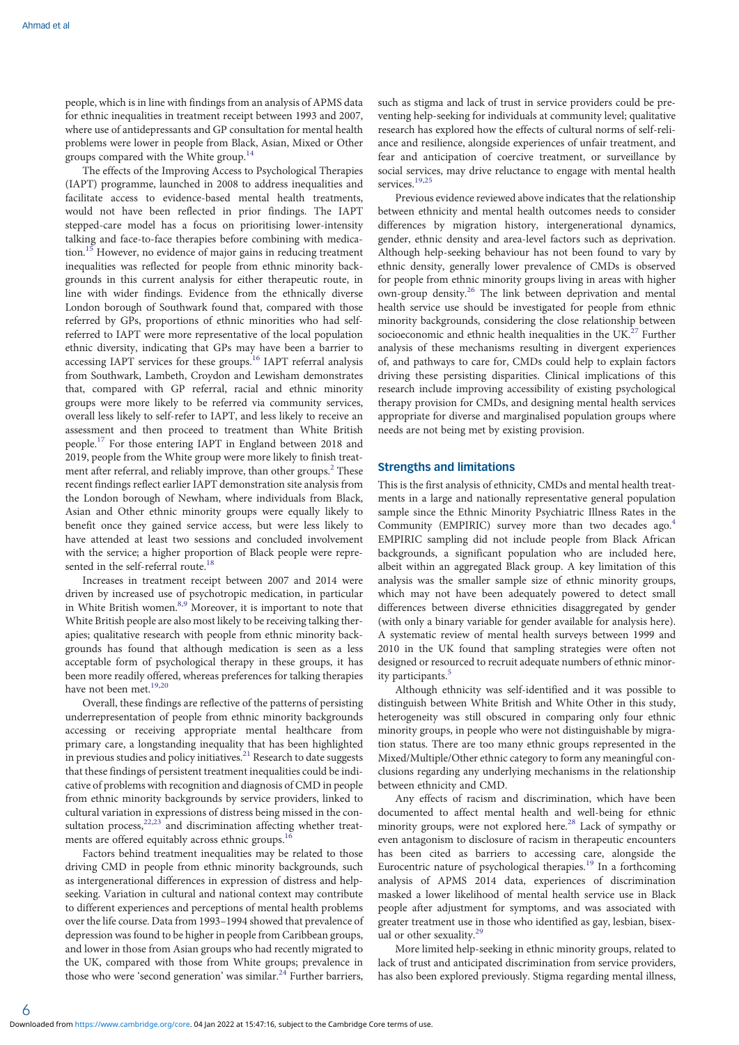people, which is in line with findings from an analysis of APMS data for ethnic inequalities in treatment receipt between 1993 and 2007, where use of antidepressants and GP consultation for mental health problems were lower in people from Black, Asian, Mixed or Other groups compared with the White group.[14](#page-7-0)

The effects of the Improving Access to Psychological Therapies (IAPT) programme, launched in 2008 to address inequalities and facilitate access to evidence-based mental health treatments, would not have been reflected in prior findings. The IAPT stepped-care model has a focus on prioritising lower-intensity talking and face-to-face therapies before combining with medication.[15](#page-7-0) However, no evidence of major gains in reducing treatment inequalities was reflected for people from ethnic minority backgrounds in this current analysis for either therapeutic route, in line with wider findings. Evidence from the ethnically diverse London borough of Southwark found that, compared with those referred by GPs, proportions of ethnic minorities who had selfreferred to IAPT were more representative of the local population ethnic diversity, indicating that GPs may have been a barrier to accessing IAPT services for these groups.[16](#page-7-0) IAPT referral analysis from Southwark, Lambeth, Croydon and Lewisham demonstrates that, compared with GP referral, racial and ethnic minority groups were more likely to be referred via community services, overall less likely to self-refer to IAPT, and less likely to receive an assessment and then proceed to treatment than White British people.[17](#page-7-0) For those entering IAPT in England between 2018 and 2019, people from the White group were more likely to finish treatment after referral, and reliably improve, than other groups.<sup>2</sup> These recent findings reflect earlier IAPT demonstration site analysis from the London borough of Newham, where individuals from Black, Asian and Other ethnic minority groups were equally likely to benefit once they gained service access, but were less likely to have attended at least two sessions and concluded involvement with the service; a higher proportion of Black people were represented in the self-referral route.<sup>18</sup>

Increases in treatment receipt between 2007 and 2014 were driven by increased use of psychotropic medication, in particular in White British women.<sup>8,[9](#page-6-0)</sup> Moreover, it is important to note that White British people are also most likely to be receiving talking therapies; qualitative research with people from ethnic minority backgrounds has found that although medication is seen as a less acceptable form of psychological therapy in these groups, it has been more readily offered, whereas preferences for talking therapies have not been met.<sup>[19,20](#page-7-0)</sup>

Overall, these findings are reflective of the patterns of persisting underrepresentation of people from ethnic minority backgrounds accessing or receiving appropriate mental healthcare from primary care, a longstanding inequality that has been highlighted in previous studies and policy initiatives.<sup>[21](#page-7-0)</sup> Research to date suggests that these findings of persistent treatment inequalities could be indicative of problems with recognition and diagnosis of CMD in people from ethnic minority backgrounds by service providers, linked to cultural variation in expressions of distress being missed in the consultation process, $22,23$  $22,23$  $22,23$  and discrimination affecting whether treatments are offered equitably across ethnic groups.<sup>16</sup>

Factors behind treatment inequalities may be related to those driving CMD in people from ethnic minority backgrounds, such as intergenerational differences in expression of distress and helpseeking. Variation in cultural and national context may contribute to different experiences and perceptions of mental health problems over the life course. Data from 1993–1994 showed that prevalence of depression was found to be higher in people from Caribbean groups, and lower in those from Asian groups who had recently migrated to the UK, compared with those from White groups; prevalence in those who were 'second generation' was similar.<sup>[24](#page-7-0)</sup> Further barriers,

such as stigma and lack of trust in service providers could be preventing help-seeking for individuals at community level; qualitative research has explored how the effects of cultural norms of self-reliance and resilience, alongside experiences of unfair treatment, and fear and anticipation of coercive treatment, or surveillance by social services, may drive reluctance to engage with mental health services.<sup>[19](#page-7-0),[25](#page-7-0)</sup>

Previous evidence reviewed above indicates that the relationship between ethnicity and mental health outcomes needs to consider differences by migration history, intergenerational dynamics, gender, ethnic density and area-level factors such as deprivation. Although help-seeking behaviour has not been found to vary by ethnic density, generally lower prevalence of CMDs is observed for people from ethnic minority groups living in areas with higher own-group density.[26](#page-7-0) The link between deprivation and mental health service use should be investigated for people from ethnic minority backgrounds, considering the close relationship between socioeconomic and ethnic health inequalities in the UK.<sup>27</sup> Further analysis of these mechanisms resulting in divergent experiences of, and pathways to care for, CMDs could help to explain factors driving these persisting disparities. Clinical implications of this research include improving accessibility of existing psychological therapy provision for CMDs, and designing mental health services appropriate for diverse and marginalised population groups where needs are not being met by existing provision.

# Strengths and limitations

This is the first analysis of ethnicity, CMDs and mental health treatments in a large and nationally representative general population sample since the Ethnic Minority Psychiatric Illness Rates in the Community (EMPIRIC) survey more than two decades ago.<sup>4</sup> EMPIRIC sampling did not include people from Black African backgrounds, a significant population who are included here, albeit within an aggregated Black group. A key limitation of this analysis was the smaller sample size of ethnic minority groups, which may not have been adequately powered to detect small differences between diverse ethnicities disaggregated by gender (with only a binary variable for gender available for analysis here). A systematic review of mental health surveys between 1999 and 2010 in the UK found that sampling strategies were often not designed or resourced to recruit adequate numbers of ethnic minor-ity participants.<sup>[5](#page-6-0)</sup>

Although ethnicity was self-identified and it was possible to distinguish between White British and White Other in this study, heterogeneity was still obscured in comparing only four ethnic minority groups, in people who were not distinguishable by migration status. There are too many ethnic groups represented in the Mixed/Multiple/Other ethnic category to form any meaningful conclusions regarding any underlying mechanisms in the relationship between ethnicity and CMD.

Any effects of racism and discrimination, which have been documented to affect mental health and well-being for ethnic minority groups, were not explored here.<sup>[28](#page-7-0)</sup> Lack of sympathy or even antagonism to disclosure of racism in therapeutic encounters has been cited as barriers to accessing care, alongside the Eurocentric nature of psychological therapies.<sup>[19](#page-7-0)</sup> In a forthcoming analysis of APMS 2014 data, experiences of discrimination masked a lower likelihood of mental health service use in Black people after adjustment for symptoms, and was associated with greater treatment use in those who identified as gay, lesbian, bisexual or other sexuality. $29$ 

More limited help-seeking in ethnic minority groups, related to lack of trust and anticipated discrimination from service providers, has also been explored previously. Stigma regarding mental illness,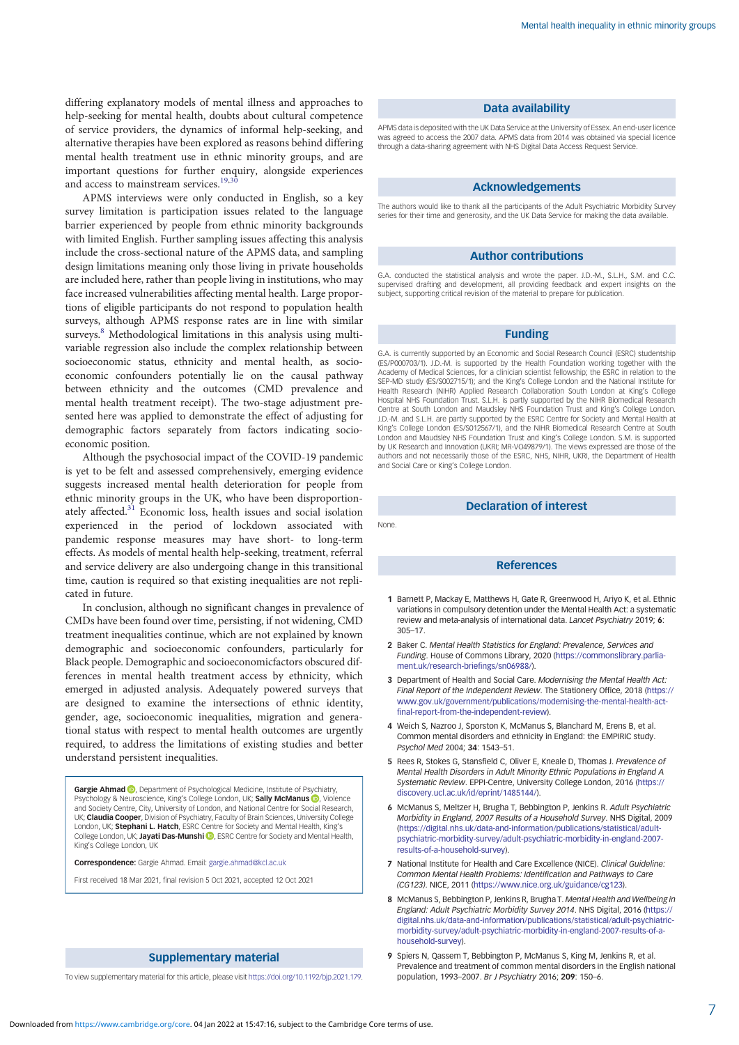<span id="page-6-0"></span>differing explanatory models of mental illness and approaches to help-seeking for mental health, doubts about cultural competence of service providers, the dynamics of informal help-seeking, and alternative therapies have been explored as reasons behind differing mental health treatment use in ethnic minority groups, and are important questions for further enquiry, alongside experiences and access to mainstream services.<sup>19,30</sup>

APMS interviews were only conducted in English, so a key survey limitation is participation issues related to the language barrier experienced by people from ethnic minority backgrounds with limited English. Further sampling issues affecting this analysis include the cross-sectional nature of the APMS data, and sampling design limitations meaning only those living in private households are included here, rather than people living in institutions, who may face increased vulnerabilities affecting mental health. Large proportions of eligible participants do not respond to population health surveys, although APMS response rates are in line with similar surveys.<sup>8</sup> Methodological limitations in this analysis using multivariable regression also include the complex relationship between socioeconomic status, ethnicity and mental health, as socioeconomic confounders potentially lie on the causal pathway between ethnicity and the outcomes (CMD prevalence and mental health treatment receipt). The two-stage adjustment presented here was applied to demonstrate the effect of adjusting for demographic factors separately from factors indicating socioeconomic position.

Although the psychosocial impact of the COVID-19 pandemic is yet to be felt and assessed comprehensively, emerging evidence suggests increased mental health deterioration for people from ethnic minority groups in the UK, who have been disproportion-ately affected.<sup>[31](#page-7-0)</sup> Economic loss, health issues and social isolation experienced in the period of lockdown associated with pandemic response measures may have short- to long-term effects. As models of mental health help-seeking, treatment, referral and service delivery are also undergoing change in this transitional time, caution is required so that existing inequalities are not replicated in future.

In conclusion, although no significant changes in prevalence of CMDs have been found over time, persisting, if not widening, CMD treatment inequalities continue, which are not explained by known demographic and socioeconomic confounders, particularly for Black people. Demographic and socioeconomicfactors obscured differences in mental health treatment access by ethnicity, which emerged in adjusted analysis. Adequately powered surveys that are designed to examine the intersections of ethnic identity, gender, age, socioeconomic inequalities, migration and generational status with respect to mental health outcomes are urgently required, to address the limitations of existing studies and better understand persistent inequalities.

**Gargie Ahmad ©,** Department of Psychological Medicine, Institute of Psychiatry,<br>Psychology & Neuroscience, King's College London, UK; **Sally McManus <mark>©</mark>,** Violence and Society Centre, City, University of London, and National Centre for Social Research, UK; Claudia Cooper, Division of Psychiatry, Faculty of Brain Sciences, University College London, UK; **Stephani L. Hatch**, ESRC Centre for Society and Mental Health, King's London, UK; Jayati Das-Munshi **D**, ESRC Centre for Society and Mental Health, King's College London, UK

Correspondence: Gargie Ahmad. Email: [gargie.ahmad@kcl.ac.uk](mailto:gargie.ahmad@kcl.ac.uk)

First received 18 Mar 2021, final revision 5 Oct 2021, accepted 12 Oct 2021

# Supplementary material

To view supplementary material for this article, please visit <https://doi.org/10.1192/bjp.2021.179>.

#### Data availability

APMS data is deposited with the UK Data Service at the University of Essex. An end-user licence was agreed to access the 2007 data. APMS data from 2014 was obtained via special licence through a data-sharing agreement with NHS Digital Data Access Request Service.

## Acknowledgements

The authors would like to thank all the participants of the Adult Psychiatric Morbidity Survey series for their time and generosity, and the UK Data Service for making the data available.

#### Author contributions

G.A. conducted the statistical analysis and wrote the paper. J.D.-M., S.L.H., S.M. and C.C. supervised drafting and development, all providing feedback and expert insights on the subject, supporting critical revision of the material to prepare for publication.

## Funding

G.A. is currently supported by an Economic and Social Research Council (ESRC) studentship (ES/P000703/1). J.D.-M. is supported by the Health Foundation working together with the Academy of Medical Sciences, for a clinician scientist fellowship; the ESRC in relation to the SEP-MD study (ES/S002715/1); and the King's College London and the National Institute for Health Research (NIHR) Applied Research Collaboration South London at King's College Hospital NHS Foundation Trust. S.L.H. is partly supported by the NIHR Biomedical Research Centre at South London and Maudsley NHS Foundation Trust and King's College London. J.D.-M. and S.L.H. are partly supported by the ESRC Centre for Society and Mental Health at King's College London (ES/S012567/1), and the NIHR Biomedical Research Centre at South London and Maudsley NHS Foundation Trust and King's College London. S.M. is supported by UK Research and Innovation (UKRI; MR-VO49879/1). The views expressed are those of the authors and not necessarily those of the ESRC, NHS, NIHR, UKRI, the Department of Health and Social Care or King's College London.

## Declaration of interest

None.

## References

- 1 Barnett P, Mackay E, Matthews H, Gate R, Greenwood H, Ariyo K, et al. Ethnic variations in compulsory detention under the Mental Health Act: a systematic review and meta-analysis of international data. Lancet Psychiatry 2019; 6: 305–17.
- 2 Baker C. Mental Health Statistics for England: Prevalence, Services and Funding. House of Commons Library, 2020 ([https://commonslibrary.parlia](https://commonslibrary.parliament.uk/research-briefings/sn06988/)[ment.uk/research-briefings/sn06988/\)](https://commonslibrary.parliament.uk/research-briefings/sn06988/).
- 3 Department of Health and Social Care. Modernising the Mental Health Act: Final Report of the Independent Review. The Stationery Office, 2018 [\(https://](https://www.gov.uk/government/publications/modernising-the-mental-health-act-final-report-from-the-independent-review) [www.gov.uk/government/publications/modernising-the-mental-health-act](https://www.gov.uk/government/publications/modernising-the-mental-health-act-final-report-from-the-independent-review)[final-report-from-the-independent-review\)](https://www.gov.uk/government/publications/modernising-the-mental-health-act-final-report-from-the-independent-review).
- 4 Weich S, Nazroo J, Sporston K, McManus S, Blanchard M, Erens B, et al. Common mental disorders and ethnicity in England: the EMPIRIC study. Psychol Med 2004; 34: 1543–51.
- 5 Rees R, Stokes G, Stansfield C, Oliver E, Kneale D, Thomas J. Prevalence of Mental Health Disorders in Adult Minority Ethnic Populations in England A Systematic Review. EPPI-Centre, University College London, 2016 ([https://](https://discovery.ucl.ac.uk/id/eprint/1485144/) [discovery.ucl.ac.uk/id/eprint/1485144/\)](https://discovery.ucl.ac.uk/id/eprint/1485144/).
- 6 McManus S, Meltzer H, Brugha T, Bebbington P, Jenkins R. Adult Psychiatric Morbidity in England, 2007 Results of a Household Survey. NHS Digital, 2009 ([https://digital.nhs.uk/data-and-information/publications/statistical/adult](https://digital.nhs.uk/data-and-information/publications/statistical/adult-psychiatric-morbidity-survey/adult-psychiatric-morbidity-in-england-2007-results-of-a-household-survey)[psychiatric-morbidity-survey/adult-psychiatric-morbidity-in-england-2007](https://digital.nhs.uk/data-and-information/publications/statistical/adult-psychiatric-morbidity-survey/adult-psychiatric-morbidity-in-england-2007-results-of-a-household-survey) [results-of-a-household-survey](https://digital.nhs.uk/data-and-information/publications/statistical/adult-psychiatric-morbidity-survey/adult-psychiatric-morbidity-in-england-2007-results-of-a-household-survey)).
- 7 National Institute for Health and Care Excellence (NICE). Clinical Guideline: Common Mental Health Problems: Identification and Pathways to Care (CG123). NICE, 2011 ([https://www.nice.org.uk/guidance/cg123\)](https://www.nice.org.uk/guidance/cg123).
- 8 McManus S, Bebbington P, Jenkins R, Brugha T. Mental Health and Wellbeing in England: Adult Psychiatric Morbidity Survey 2014. NHS Digital, 2016 [\(https://](https://digital.nhs.uk/data-and-information/publications/statistical/adult-psychiatric-morbidity-survey/adult-psychiatric-morbidity-in-england-2007-results-of-a-household-survey) [digital.nhs.uk/data-and-information/publications/statistical/adult-psychiatric](https://digital.nhs.uk/data-and-information/publications/statistical/adult-psychiatric-morbidity-survey/adult-psychiatric-morbidity-in-england-2007-results-of-a-household-survey)[morbidity-survey/adult-psychiatric-morbidity-in-england-2007-results-of-a](https://digital.nhs.uk/data-and-information/publications/statistical/adult-psychiatric-morbidity-survey/adult-psychiatric-morbidity-in-england-2007-results-of-a-household-survey)[household-survey\)](https://digital.nhs.uk/data-and-information/publications/statistical/adult-psychiatric-morbidity-survey/adult-psychiatric-morbidity-in-england-2007-results-of-a-household-survey).
- 9 Spiers N, Qassem T, Bebbington P, McManus S, King M, Jenkins R, et al. Prevalence and treatment of common mental disorders in the English national population, 1993–2007. Br J Psychiatry 2016; 209: 150–6.